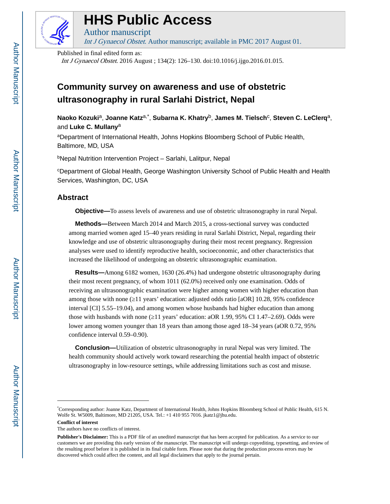

# **HHS Public Access**

Int J Gynaecol Obstet. Author manuscript; available in PMC 2017 August 01.

Published in final edited form as:

Author manuscript

Int J Gynaecol Obstet. 2016 August ; 134(2): 126–130. doi:10.1016/j.ijgo.2016.01.015.

# **Community survey on awareness and use of obstetric ultrasonography in rural Sarlahi District, Nepal**

**Naoko Kozuki**a, **Joanne Katz**a,\* , **Subarna K. Khatry**b, **James M. Tielsch**<sup>c</sup> , **Steven C. LeClerq**a, and **Luke C. Mullany**<sup>a</sup>

<sup>a</sup>Department of International Health, Johns Hopkins Bloomberg School of Public Health, Baltimore, MD, USA

<sup>b</sup>Nepal Nutrition Intervention Project – Sarlahi, Lalitpur, Nepal

<sup>c</sup>Department of Global Health, George Washington University School of Public Health and Health Services, Washington, DC, USA

## **Abstract**

**Objective—**To assess levels of awareness and use of obstetric ultrasonography in rural Nepal.

 **Methods—**Between March 2014 and March 2015, a cross-sectional survey was conducted among married women aged 15–40 years residing in rural Sarlahi District, Nepal, regarding their knowledge and use of obstetric ultrasonography during their most recent pregnancy. Regression analyses were used to identify reproductive health, socioeconomic, and other characteristics that increased the likelihood of undergoing an obstetric ultrasonographic examination.

 **Results—**Among 6182 women, 1630 (26.4%) had undergone obstetric ultrasonography during their most recent pregnancy, of whom 1011 (62.0%) received only one examination. Odds of receiving an ultrasonographic examination were higher among women with higher education than among those with none (11 years' education: adjusted odds ratio [aOR] 10.28, 95% confidence interval [CI] 5.55–19.04), and among women whose husbands had higher education than among those with husbands with none  $(11 \text{ years'}$  education: aOR  $1.99, 95\%$  CI  $1.47-2.69$ ). Odds were lower among women younger than 18 years than among those aged 18–34 years (aOR 0.72, 95% confidence interval 0.59–0.90).

 **Conclusion—**Utilization of obstetric ultrasonography in rural Nepal was very limited. The health community should actively work toward researching the potential health impact of obstetric ultrasonography in low-resource settings, while addressing limitations such as cost and misuse.

<sup>\*</sup>Corresponding author: Joanne Katz, Department of International Health, Johns Hopkins Bloomberg School of Public Health, 615 N. Wolfe St. W5009, Baltimore, MD 21205, USA. Tel.: +1 410 955 7016. jkatz1@jhu.edu.

**Conflict of interest**

The authors have no conflicts of interest.

**Publisher's Disclaimer:** This is a PDF file of an unedited manuscript that has been accepted for publication. As a service to our customers we are providing this early version of the manuscript. The manuscript will undergo copyediting, typesetting, and review of the resulting proof before it is published in its final citable form. Please note that during the production process errors may be discovered which could affect the content, and all legal disclaimers that apply to the journal pertain.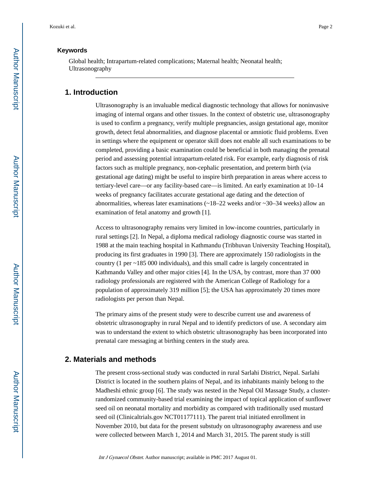#### **Keywords**

Global health; Intrapartum-related complications; Maternal health; Neonatal health; Ultrasonography

# **1. Introduction**

Ultrasonography is an invaluable medical diagnostic technology that allows for noninvasive imaging of internal organs and other tissues. In the context of obstetric use, ultrasonography is used to confirm a pregnancy, verify multiple pregnancies, assign gestational age, monitor growth, detect fetal abnormalities, and diagnose placental or amniotic fluid problems. Even in settings where the equipment or operator skill does not enable all such examinations to be completed, providing a basic examination could be beneficial in both managing the prenatal period and assessing potential intrapartum-related risk. For example, early diagnosis of risk factors such as multiple pregnancy, non-cephalic presentation, and preterm birth (via gestational age dating) might be useful to inspire birth preparation in areas where access to tertiary-level care—or any facility-based care—is limited. An early examination at 10–14 weeks of pregnancy facilitates accurate gestational age dating and the detection of abnormalities, whereas later examinations  $\left(\frac{18-22}{18-22}\right)$  weeks and/or  $\sim$  30–34 weeks) allow an examination of fetal anatomy and growth [1].

Access to ultrasonography remains very limited in low-income countries, particularly in rural settings [2]. In Nepal, a diploma medical radiology diagnostic course was started in 1988 at the main teaching hospital in Kathmandu (Tribhuvan University Teaching Hospital), producing its first graduates in 1990 [3]. There are approximately 150 radiologists in the country (1 per ~185 000 individuals), and this small cadre is largely concentrated in Kathmandu Valley and other major cities [4]. In the USA, by contrast, more than 37 000 radiology professionals are registered with the American College of Radiology for a population of approximately 319 million [5]; the USA has approximately 20 times more radiologists per person than Nepal.

The primary aims of the present study were to describe current use and awareness of obstetric ultrasonography in rural Nepal and to identify predictors of use. A secondary aim was to understand the extent to which obstetric ultrasonography has been incorporated into prenatal care messaging at birthing centers in the study area.

#### **2. Materials and methods**

The present cross-sectional study was conducted in rural Sarlahi District, Nepal. Sarlahi District is located in the southern plains of Nepal, and its inhabitants mainly belong to the Madheshi ethnic group [6]. The study was nested in the Nepal Oil Massage Study, a clusterrandomized community-based trial examining the impact of topical application of sunflower seed oil on neonatal mortality and morbidity as compared with traditionally used mustard seed oil (Clinicaltrials.gov NCT01177111). The parent trial initiated enrollment in November 2010, but data for the present substudy on ultrasonography awareness and use were collected between March 1, 2014 and March 31, 2015. The parent study is still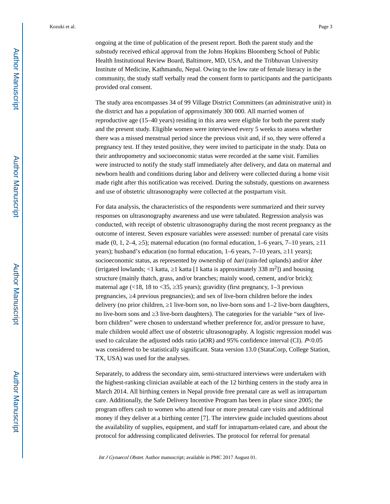Health Institutional Review Board, Baltimore, MD, USA, and the Tribhuvan University Institute of Medicine, Kathmandu, Nepal. Owing to the low rate of female literacy in the community, the study staff verbally read the consent form to participants and the participants provided oral consent.

The study area encompasses 34 of 99 Village District Committees (an administrative unit) in the district and has a population of approximately 300 000. All married women of reproductive age (15–40 years) residing in this area were eligible for both the parent study and the present study. Eligible women were interviewed every 5 weeks to assess whether there was a missed menstrual period since the previous visit and, if so, they were offered a pregnancy test. If they tested positive, they were invited to participate in the study. Data on their anthropometry and socioeconomic status were recorded at the same visit. Families were instructed to notify the study staff immediately after delivery, and data on maternal and newborn health and conditions during labor and delivery were collected during a home visit made right after this notification was received. During the substudy, questions on awareness and use of obstetric ultrasonography were collected at the postpartum visit.

For data analysis, the characteristics of the respondents were summarized and their survey responses on ultrasonography awareness and use were tabulated. Regression analysis was conducted, with receipt of obstetric ultrasonography during the most recent pregnancy as the outcome of interest. Seven exposure variables were assessed: number of prenatal care visits made  $(0, 1, 2-4, 5)$ ; maternal education (no formal education,  $1-6$  years,  $7-10$  years,  $11$ years); husband's education (no formal education, 1–6 years, 7–10 years, 11 years); socioeconomic status, as represented by ownership of *bari* (rain-fed uplands) and/or *khet* (irrigated lowlands; <1 katta, 1 katta [1 katta is approximately 338  $m<sup>2</sup>$ ]) and housing structure (mainly thatch, grass, and/or branches; mainly wood, cement, and/or brick); maternal age  $(\langle 18, 18 \rangle$  to  $\langle 35, 35 \rangle$  years); gravidity (first pregnancy, 1–3 previous pregnancies, ≥4 previous pregnancies); and sex of live-born children before the index delivery (no prior children, 1 live-born son, no live-born sons and 1–2 live-born daughters, no live-born sons and  $\beta$  live-born daughters). The categories for the variable "sex of liveborn children" were chosen to understand whether preference for, and/or pressure to have, male children would affect use of obstetric ultrasonography. A logistic regression model was used to calculate the adjusted odds ratio (aOR) and 95% confidence interval (CI). P<0.05 was considered to be statistically significant. Stata version 13.0 (StataCorp, College Station, TX, USA) was used for the analyses.

Separately, to address the secondary aim, semi-structured interviews were undertaken with the highest-ranking clinician available at each of the 12 birthing centers in the study area in March 2014. All birthing centers in Nepal provide free prenatal care as well as intrapartum care. Additionally, the Safe Delivery Incentive Program has been in place since 2005; the program offers cash to women who attend four or more prenatal care visits and additional money if they deliver at a birthing center [7]. The interview guide included questions about the availability of supplies, equipment, and staff for intrapartum-related care, and about the protocol for addressing complicated deliveries. The protocol for referral for prenatal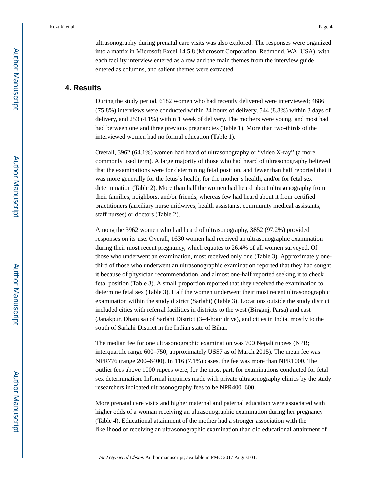ultrasonography during prenatal care visits was also explored. The responses were organized into a matrix in Microsoft Excel 14.5.8 (Microsoft Corporation, Redmond, WA, USA), with each facility interview entered as a row and the main themes from the interview guide entered as columns, and salient themes were extracted.

# **4. Results**

During the study period, 6182 women who had recently delivered were interviewed; 4686 (75.8%) interviews were conducted within 24 hours of delivery, 544 (8.8%) within 3 days of delivery, and 253 (4.1%) within 1 week of delivery. The mothers were young, and most had had between one and three previous pregnancies (Table 1). More than two-thirds of the interviewed women had no formal education (Table 1).

Overall, 3962 (64.1%) women had heard of ultrasonography or "video X-ray" (a more commonly used term). A large majority of those who had heard of ultrasonography believed that the examinations were for determining fetal position, and fewer than half reported that it was more generally for the fetus's health, for the mother's health, and/or for fetal sex determination (Table 2). More than half the women had heard about ultrasonography from their families, neighbors, and/or friends, whereas few had heard about it from certified practitioners (auxiliary nurse midwives, health assistants, community medical assistants, staff nurses) or doctors (Table 2).

Among the 3962 women who had heard of ultrasonography, 3852 (97.2%) provided responses on its use. Overall, 1630 women had received an ultrasonographic examination during their most recent pregnancy, which equates to 26.4% of all women surveyed. Of those who underwent an examination, most received only one (Table 3). Approximately onethird of those who underwent an ultrasonographic examination reported that they had sought it because of physician recommendation, and almost one-half reported seeking it to check fetal position (Table 3). A small proportion reported that they received the examination to determine fetal sex (Table 3). Half the women underwent their most recent ultrasonographic examination within the study district (Sarlahi) (Table 3). Locations outside the study district included cities with referral facilities in districts to the west (Birganj, Parsa) and east (Janakpur, Dhanusa) of Sarlahi District (3–4-hour drive), and cities in India, mostly to the south of Sarlahi District in the Indian state of Bihar.

The median fee for one ultrasonographic examination was 700 Nepali rupees (NPR; interquartile range 600–750; approximately US\$7 as of March 2015). The mean fee was NPR776 (range 200–6400). In 116 (7.1%) cases, the fee was more than NPR1000. The outlier fees above 1000 rupees were, for the most part, for examinations conducted for fetal sex determination. Informal inquiries made with private ultrasonography clinics by the study researchers indicated ultrasonography fees to be NPR400–600.

More prenatal care visits and higher maternal and paternal education were associated with higher odds of a woman receiving an ultrasonographic examination during her pregnancy (Table 4). Educational attainment of the mother had a stronger association with the likelihood of receiving an ultrasonographic examination than did educational attainment of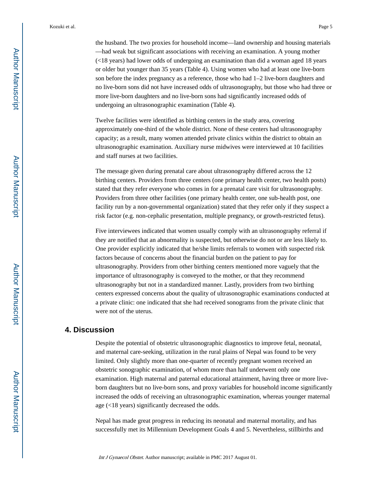the husband. The two proxies for household income—land ownership and housing materials —had weak but significant associations with receiving an examination. A young mother (<18 years) had lower odds of undergoing an examination than did a woman aged 18 years or older but younger than 35 years (Table 4). Using women who had at least one live-born son before the index pregnancy as a reference, those who had 1–2 live-born daughters and no live-born sons did not have increased odds of ultrasonography, but those who had three or more live-born daughters and no live-born sons had significantly increased odds of undergoing an ultrasonographic examination (Table 4).

Twelve facilities were identified as birthing centers in the study area, covering approximately one-third of the whole district. None of these centers had ultrasonography capacity; as a result, many women attended private clinics within the district to obtain an ultrasonographic examination. Auxiliary nurse midwives were interviewed at 10 facilities and staff nurses at two facilities.

The message given during prenatal care about ultrasonography differed across the 12 birthing centers. Providers from three centers (one primary health center, two health posts) stated that they refer everyone who comes in for a prenatal care visit for ultrasonography. Providers from three other facilities (one primary health center, one sub-health post, one facility run by a non-governmental organization) stated that they refer only if they suspect a risk factor (e.g. non-cephalic presentation, multiple pregnancy, or growth-restricted fetus).

Five interviewees indicated that women usually comply with an ultrasonography referral if they are notified that an abnormality is suspected, but otherwise do not or are less likely to. One provider explicitly indicated that he/she limits referrals to women with suspected risk factors because of concerns about the financial burden on the patient to pay for ultrasonography. Providers from other birthing centers mentioned more vaguely that the importance of ultrasonography is conveyed to the mother, or that they recommend ultrasonography but not in a standardized manner. Lastly, providers from two birthing centers expressed concerns about the quality of ultrasonographic examinations conducted at a private clinic: one indicated that she had received sonograms from the private clinic that were not of the uterus.

# **4. Discussion**

Despite the potential of obstetric ultrasonographic diagnostics to improve fetal, neonatal, and maternal care-seeking, utilization in the rural plains of Nepal was found to be very limited. Only slightly more than one-quarter of recently pregnant women received an obstetric sonographic examination, of whom more than half underwent only one examination. High maternal and paternal educational attainment, having three or more liveborn daughters but no live-born sons, and proxy variables for household income significantly increased the odds of receiving an ultrasonographic examination, whereas younger maternal age (<18 years) significantly decreased the odds.

Nepal has made great progress in reducing its neonatal and maternal mortality, and has successfully met its Millennium Development Goals 4 and 5. Nevertheless, stillbirths and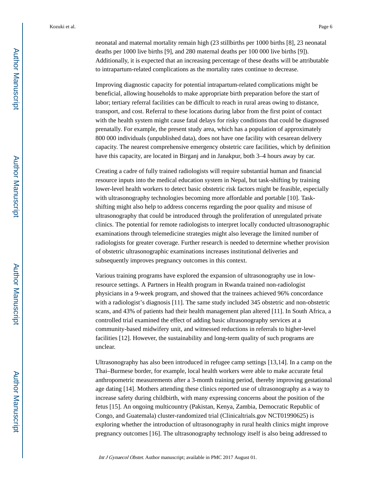neonatal and maternal mortality remain high (23 stillbirths per 1000 births [8], 23 neonatal deaths per 1000 live births [9], and 280 maternal deaths per 100 000 live births [9]). Additionally, it is expected that an increasing percentage of these deaths will be attributable to intrapartum-related complications as the mortality rates continue to decrease.

Improving diagnostic capacity for potential intrapartum-related complications might be beneficial, allowing households to make appropriate birth preparation before the start of labor; tertiary referral facilities can be difficult to reach in rural areas owing to distance, transport, and cost. Referral to these locations during labor from the first point of contact with the health system might cause fatal delays for risky conditions that could be diagnosed prenatally. For example, the present study area, which has a population of approximately 800 000 individuals (unpublished data), does not have one facility with cesarean delivery capacity. The nearest comprehensive emergency obstetric care facilities, which by definition have this capacity, are located in Birganj and in Janakpur, both 3–4 hours away by car.

Creating a cadre of fully trained radiologists will require substantial human and financial resource inputs into the medical education system in Nepal, but task-shifting by training lower-level health workers to detect basic obstetric risk factors might be feasible, especially with ultrasonography technologies becoming more affordable and portable [10]. Taskshifting might also help to address concerns regarding the poor quality and misuse of ultrasonography that could be introduced through the proliferation of unregulated private clinics. The potential for remote radiologists to interpret locally conducted ultrasonographic examinations through telemedicine strategies might also leverage the limited number of radiologists for greater coverage. Further research is needed to determine whether provision of obstetric ultrasonographic examinations increases institutional deliveries and subsequently improves pregnancy outcomes in this context.

Various training programs have explored the expansion of ultrasonography use in lowresource settings. A Partners in Health program in Rwanda trained non-radiologist physicians in a 9-week program, and showed that the trainees achieved 96% concordance with a radiologist's diagnosis [11]. The same study included 345 obstetric and non-obstetric scans, and 43% of patients had their health management plan altered [11]. In South Africa, a controlled trial examined the effect of adding basic ultrasonography services at a community-based midwifery unit, and witnessed reductions in referrals to higher-level facilities [12]. However, the sustainability and long-term quality of such programs are unclear.

Ultrasonography has also been introduced in refugee camp settings [13,14]. In a camp on the Thai–Burmese border, for example, local health workers were able to make accurate fetal anthropometric measurements after a 3-month training period, thereby improving gestational age dating [14]. Mothers attending these clinics reported use of ultrasonography as a way to increase safety during childbirth, with many expressing concerns about the position of the fetus [15]. An ongoing multicountry (Pakistan, Kenya, Zambia, Democratic Republic of Congo, and Guatemala) cluster-randomized trial (Clinicaltrials.gov NCT01990625) is exploring whether the introduction of ultrasonography in rural health clinics might improve pregnancy outcomes [16]. The ultrasonography technology itself is also being addressed to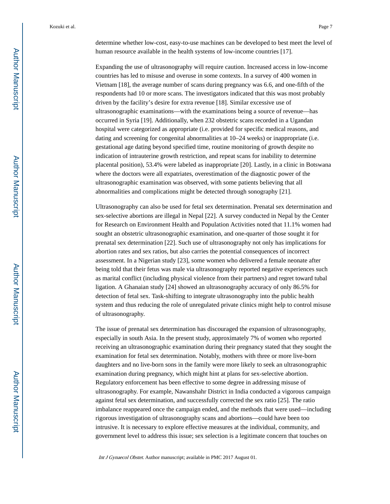determine whether low-cost, easy-to-use machines can be developed to best meet the level of human resource available in the health systems of low-income countries [17].

Expanding the use of ultrasonography will require caution. Increased access in low-income countries has led to misuse and overuse in some contexts. In a survey of 400 women in Vietnam [18], the average number of scans during pregnancy was 6.6, and one-fifth of the respondents had 10 or more scans. The investigators indicated that this was most probably driven by the facility's desire for extra revenue [18]. Similar excessive use of ultrasonographic examinations—with the examinations being a source of revenue—has occurred in Syria [19]. Additionally, when 232 obstetric scans recorded in a Ugandan hospital were categorized as appropriate (i.e. provided for specific medical reasons, and dating and screening for congenital abnormalities at 10–24 weeks) or inappropriate (i.e. gestational age dating beyond specified time, routine monitoring of growth despite no indication of intrauterine growth restriction, and repeat scans for inability to determine placental position), 53.4% were labeled as inappropriate [20]. Lastly, in a clinic in Botswana where the doctors were all expatriates, overestimation of the diagnostic power of the ultrasonographic examination was observed, with some patients believing that all abnormalities and complications might be detected through sonography [21].

Ultrasonography can also be used for fetal sex determination. Prenatal sex determination and sex-selective abortions are illegal in Nepal [22]. A survey conducted in Nepal by the Center for Research on Environment Health and Population Activities noted that 11.1% women had sought an obstetric ultrasonographic examination, and one-quarter of those sought it for prenatal sex determination [22]. Such use of ultrasonography not only has implications for abortion rates and sex ratios, but also carries the potential consequences of incorrect assessment. In a Nigerian study [23], some women who delivered a female neonate after being told that their fetus was male via ultrasonography reported negative experiences such as marital conflict (including physical violence from their partners) and regret toward tubal ligation. A Ghanaian study [24] showed an ultrasonography accuracy of only 86.5% for detection of fetal sex. Task-shifting to integrate ultrasonography into the public health system and thus reducing the role of unregulated private clinics might help to control misuse of ultrasonography.

The issue of prenatal sex determination has discouraged the expansion of ultrasonography, especially in south Asia. In the present study, approximately 7% of women who reported receiving an ultrasonographic examination during their pregnancy stated that they sought the examination for fetal sex determination. Notably, mothers with three or more live-born daughters and no live-born sons in the family were more likely to seek an ultrasonographic examination during pregnancy, which might hint at plans for sex-selective abortion. Regulatory enforcement has been effective to some degree in addressing misuse of ultrasonography. For example, Nawanshahr District in India conducted a vigorous campaign against fetal sex determination, and successfully corrected the sex ratio [25]. The ratio imbalance reappeared once the campaign ended, and the methods that were used—including rigorous investigation of ultrasonography scans and abortions—could have been too intrusive. It is necessary to explore effective measures at the individual, community, and government level to address this issue; sex selection is a legitimate concern that touches on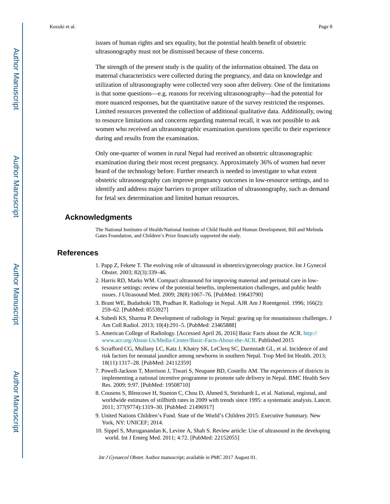issues of human rights and sex equality, but the potential health benefit of obstetric ultrasonography must not be dismissed because of these concerns.

The strength of the present study is the quality of the information obtained. The data on maternal characteristics were collected during the pregnancy, and data on knowledge and utilization of ultrasonography were collected very soon after delivery. One of the limitations is that some questions—e.g. reasons for receiving ultrasonography—had the potential for more nuanced responses, but the quantitative nature of the survey restricted the responses. Limited resources prevented the collection of additional qualitative data. Additionally, owing to resource limitations and concerns regarding maternal recall, it was not possible to ask women who received an ultrasonographic examination questions specific to their experience during and results from the examination.

Only one-quarter of women in rural Nepal had received an obstetric ultrasonographic examination during their most recent pregnancy. Approximately 36% of women had never heard of the technology before. Further research is needed to investigate to what extent obstetric ultrasonography can improve pregnancy outcomes in low-resource settings, and to identify and address major barriers to proper utilization of ultrasonography, such as demand for fetal sex determination and limited human resources.

#### **Acknowledgments**

The National Institutes of Health/National Institute of Child Health and Human Development, Bill and Melinda Gates Foundation, and Children's Prize financially supported the study.

#### **References**

- 1. Papp Z, Fekete T. The evolving role of ultrasound in obstetrics/gynecology practice. Int J Gynecol Obstet. 2003; 82(3):339–46.
- 2. Harris RD, Marks WM. Compact ultrasound for improving maternal and perinatal care in lowresource settings: review of the potential benefits, implementation challenges, and public health issues. J Ultrasound Med. 2009; 28(8):1067–76. [PubMed: 19643790]
- 3. Brant WE, Budathoki TB, Pradhan R. Radiology in Nepal. AJR Am J Roentgenol. 1996; 166(2): 259–62. [PubMed: 8553927]
- 4. Subedi KS, Sharma P. Development of radiology in Nepal: gearing up for mountainous challenges. J Am Coll Radiol. 2013; 10(4):291–5. [PubMed: 23465888]
- 5. American College of Radiology. [Accessed April 26, 2016] Basic Facts about the ACR. [http://](http://www.acr.org/About-Us/Media-Center/Basic-Facts-About-the-ACR) [www.acr.org/About-Us/Media-Center/Basic-Facts-About-the-ACR](http://www.acr.org/About-Us/Media-Center/Basic-Facts-About-the-ACR). Published 2015
- 6. Scrafford CG, Mullany LC, Katz J, Khatry SK, LeClerq SC, Darmstadt GL, et al. Incidence of and risk factors for neonatal jaundice among newborns in southern Nepal. Trop Med Int Health. 2013; 18(11):1317–28. [PubMed: 24112359]
- 7. Powell-Jackson T, Morrison J, Tiwari S, Neupane BD, Costello AM. The experiences of districts in implementing a national incentive programme to promote safe delivery in Nepal. BMC Health Serv Res. 2009; 9:97. [PubMed: 19508710]
- 8. Cousens S, Blencowe H, Stanton C, Chou D, Ahmed S, Steinhardt L, et al. National, regional, and worldwide estimates of stillbirth rates in 2009 with trends since 1995: a systematic analysis. Lancet. 2011; 377(9774):1319–30. [PubMed: 21496917]
- 9. United Nations Children's Fund. State of the World's Children 2015: Executive Summary. New York, NY: UNICEF; 2014.
- 10. Sippel S, Muruganandan K, Levine A, Shah S. Review article: Use of ultrasound in the developing world. Int J Emerg Med. 2011; 4:72. [PubMed: 22152055]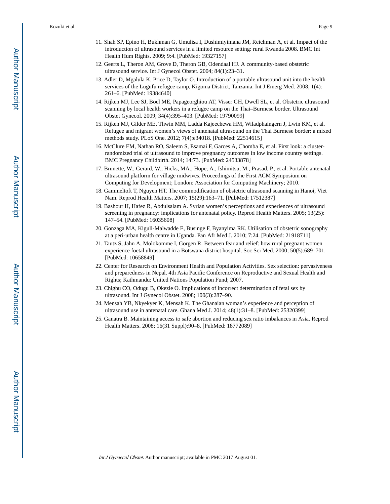- 11. Shah SP, Epino H, Bukhman G, Umulisa I, Dushimiyimana JM, Reichman A, et al. Impact of the introduction of ultrasound services in a limited resource setting: rural Rwanda 2008. BMC Int Health Hum Rights. 2009; 9:4. [PubMed: 19327157]
- 12. Geerts L, Theron AM, Grove D, Theron GB, Odendaal HJ. A community-based obstetric ultrasound service. Int J Gynecol Obstet. 2004; 84(1):23–31.
- 13. Adler D, Mgalula K, Price D, Taylor O. Introduction of a portable ultrasound unit into the health services of the Lugufu refugee camp, Kigoma District, Tanzania. Int J Emerg Med. 2008; 1(4): 261–6. [PubMed: 19384640]
- 14. Rijken MJ, Lee SJ, Boel ME, Papageorghiou AT, Visser GH, Dwell SL, et al. Obstetric ultrasound scanning by local health workers in a refugee camp on the Thai–Burmese border. Ultrasound Obstet Gynecol. 2009; 34(4):395–403. [PubMed: 19790099]
- 15. Rijken MJ, Gilder ME, Thwin MM, Ladda Kajeechewa HM, Wiladphaingern J, Lwin KM, et al. Refugee and migrant women's views of antenatal ultrasound on the Thai Burmese border: a mixed methods study. PLoS One. 2012; 7(4):e34018. [PubMed: 22514615]
- 16. McClure EM, Nathan RO, Saleem S, Esamai F, Garces A, Chomba E, et al. First look: a clusterrandomized trial of ultrasound to improve pregnancy outcomes in low income country settings. BMC Pregnancy Childbirth. 2014; 14:73. [PubMed: 24533878]
- 17. Brunette, W.; Gerard, W.; Hicks, MA.; Hope, A.; Ishimitsu, M.; Prasad, P., et al. Portable antenatal ultrasound platform for village midwives. Proceedings of the First ACM Symposium on Computing for Development; London: Association for Computing Machinery; 2010.
- 18. Gammeltoft T, Nguyen HT. The commodification of obstetric ultrasound scanning in Hanoi, Viet Nam. Reprod Health Matters. 2007; 15(29):163–71. [PubMed: 17512387]
- 19. Bashour H, Hafez R, Abdulsalam A. Syrian women's perceptions and experiences of ultrasound screening in pregnancy: implications for antenatal policy. Reprod Health Matters. 2005; 13(25): 147–54. [PubMed: 16035608]
- 20. Gonzaga MA, Kiguli-Malwadde E, Businge F, Byanyima RK. Utilisation of obstetric sonography at a peri-urban health centre in Uganda. Pan Afr Med J. 2010; 7:24. [PubMed: 21918711]
- 21. Tautz S, Jahn A, Molokomme I, Gorgen R. Between fear and relief: how rural pregnant women experience foetal ultrasound in a Botswana district hospital. Soc Sci Med. 2000; 50(5):689–701. [PubMed: 10658849]
- 22. Center for Research on Environment Health and Population Activities. Sex selection: pervasiveness and preparedness in Nepal. 4th Asia Pacific Conference on Reproductive and Sexual Health and Rights; Kathmandu: United Nations Population Fund; 2007.
- 23. Chigbu CO, Odugu B, Okezie O. Implications of incorrect determination of fetal sex by ultrasound. Int J Gynecol Obstet. 2008; 100(3):287–90.
- 24. Mensah YB, Nkyekyer K, Mensah K. The Ghanaian woman's experience and perception of ultrasound use in antenatal care. Ghana Med J. 2014; 48(1):31–8. [PubMed: 25320399]
- 25. Ganatra B. Maintaining access to safe abortion and reducing sex ratio imbalances in Asia. Reprod Health Matters. 2008; 16(31 Suppl):90–8. [PubMed: 18772089]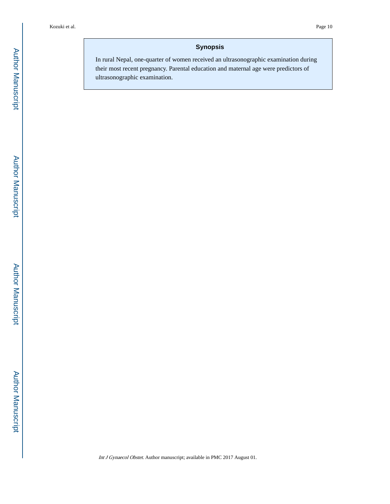# **Synopsis**

In rural Nepal, one-quarter of women received an ultrasonographic examination during their most recent pregnancy. Parental education and maternal age were predictors of ultrasonographic examination.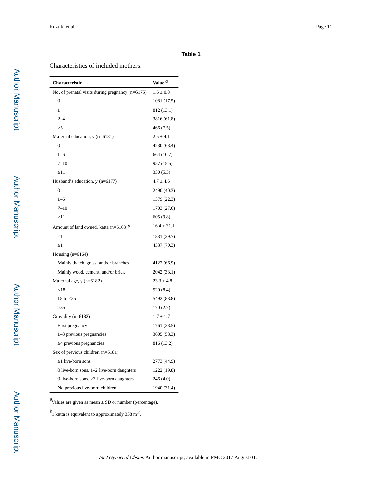#### **Table 1**

#### Characteristics of included mothers.

| <b>Characteristic</b>                              | Value <sup>a</sup> |
|----------------------------------------------------|--------------------|
| No. of prenatal visits during pregnancy $(n=6175)$ | $1.6 \pm 0.8$      |
| $\overline{0}$                                     | 1081 (17.5)        |
| $\mathbf{1}$                                       | 812 (13.1)         |
| $2 - 4$                                            | 3816 (61.8)        |
| 5                                                  | 466 (7.5)          |
| Maternal education, y (n=6181)                     | $2.5 \pm 4.1$      |
| $\theta$                                           | 4230 (68.4)        |
| $1 - 6$                                            | 664 (10.7)         |
| $7 - 10$                                           | 957 (15.5)         |
| 11                                                 | 330 (5.3)          |
| Husband's education, y (n=6177)                    | $4.7 \pm 4.6$      |
| $\theta$                                           | 2490 (40.3)        |
| $1 - 6$                                            | 1379 (22.3)        |
| $7 - 10$                                           | 1703 (27.6)        |
| 11                                                 | 605(9.8)           |
| Amount of land owned, katta $(n=6168)^{b}$         | $16.4 \pm 31.1$    |
| $\leq$ 1                                           | 1831 (29.7)        |
| 1                                                  | 4337 (70.3)        |
| Housing $(n=6164)$                                 |                    |
| Mainly thatch, grass, and/or branches              | 4122 (66.9)        |
| Mainly wood, cement, and/or brick                  | 2042 (33.1)        |
| Maternal age, y (n=6182)                           | $23.3 \pm 4.8$     |
| ${<}18$                                            | 520 (8.4)          |
| 18 to $<$ 35                                       | 5492 (88.8)        |
| 35                                                 | 170(2.7)           |
| Gravidity (n=6182)                                 | $1.7 \pm 1.7$      |
| First pregnancy                                    | 1761 (28.5)        |
| 1-3 previous pregnancies                           | 3605 (58.3)        |
| 4 previous pregnancies                             | 816 (13.2)         |
| Sex of previous children $(n=6181)$                |                    |
| 1 live-born sons                                   | 2773 (44.9)        |
| 0 live-born sons, $1-2$ live-born daughters        | 1222 (19.8)        |
| 0 live-born sons, 3 live-born daughters            | 246 (4.0)          |
| No previous live-born children                     | 1940 (31.4)        |

 $\alpha$ Values are given as mean  $\pm$  SD or number (percentage).

 $b<sub>1</sub>$  katta is equivalent to approximately 338 m<sup>2</sup>.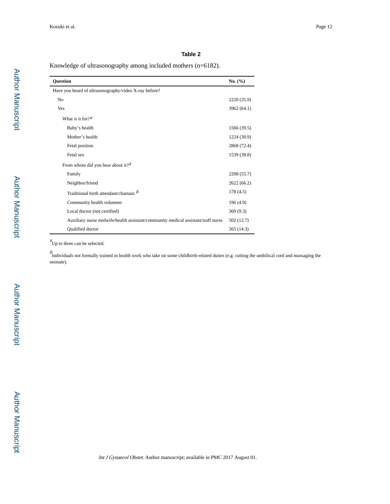L,

#### **Table 2**

Knowledge of ultrasonography among included mothers (n=6182).

| <b>Ouestion</b>                                                                  | No. (%)     |
|----------------------------------------------------------------------------------|-------------|
| Have you heard of ultrasonography/video X-ray before?                            |             |
| No                                                                               | 2220 (35.9) |
| Yes                                                                              | 3962 (64.1) |
| What is it for $2^a$                                                             |             |
| Baby's health                                                                    | 1566 (39.5) |
| Mother's health                                                                  | 1224 (30.9) |
| Fetal position                                                                   | 2868 (72.4) |
| Fetal sex                                                                        | 1539 (38.8) |
| From whom did you hear about it? <sup><i>a</i></sup>                             |             |
| Family                                                                           | 2208 (55.7) |
| Neighbor/friend                                                                  | 2622 (66.2) |
| Traditional birth attendant/chamain b                                            | 178(4.5)    |
| Community health volunteer                                                       | 196(4.9)    |
| Local doctor (not certified)                                                     | 369 (9.3)   |
| Auxiliary nurse midwife/health assistant/community medical assistant/staff nurse | 502 (12.7)  |
| Qualified doctor                                                                 | 565 (14.3)  |

 $\alpha$ <sup>d</sup>Up to three can be selected.

 $b$ <br>Individuals not formally trained in health work who take on some childbirth-related duties (e.g. cutting the umbilical cord and massaging the neonate).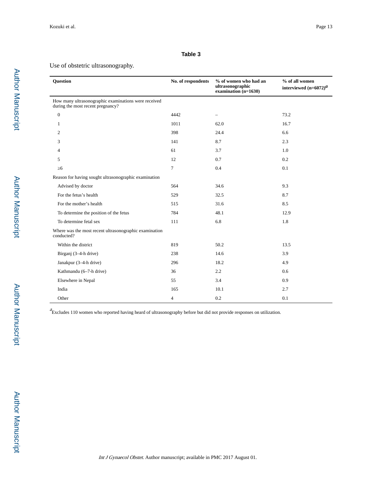#### **Table 3**

#### Use of obstetric ultrasonography.

| <b>Ouestion</b>                                                                           | No. of respondents | % of women who had an<br>ultrasonographic<br>examination $(n=1630)$ | % of all women<br>interviewed $(n=6072)^{d}$ |
|-------------------------------------------------------------------------------------------|--------------------|---------------------------------------------------------------------|----------------------------------------------|
| How many ultrasonographic examinations were received<br>during the most recent pregnancy? |                    |                                                                     |                                              |
| $\mathbf{0}$                                                                              | 4442               |                                                                     | 73.2                                         |
| 1                                                                                         | 1011               | 62.0                                                                | 16.7                                         |
| 2                                                                                         | 398                | 24.4                                                                | 6.6                                          |
| 3                                                                                         | 141                | 8.7                                                                 | 2.3                                          |
| 4                                                                                         | 61                 | 3.7                                                                 | 1.0                                          |
| 5                                                                                         | 12                 | 0.7                                                                 | 0.2                                          |
| 6                                                                                         | 7                  | 0.4                                                                 | 0.1                                          |
| Reason for having sought ultrasonographic examination                                     |                    |                                                                     |                                              |
| Advised by doctor                                                                         | 564                | 34.6                                                                | 9.3                                          |
| For the fetus's health                                                                    | 529                | 32.5                                                                | 8.7                                          |
| For the mother's health                                                                   | 515                | 31.6                                                                | 8.5                                          |
| To determine the position of the fetus                                                    | 784                | 48.1                                                                | 12.9                                         |
| To determine fetal sex                                                                    | 111                | 6.8                                                                 | 1.8                                          |
| Where was the most recent ultrasonographic examination<br>conducted?                      |                    |                                                                     |                                              |
| Within the district                                                                       | 819                | 50.2                                                                | 13.5                                         |
| Birganj (3-4-h drive)                                                                     | 238                | 14.6                                                                | 3.9                                          |
| Janakpur (3-4-h drive)                                                                    | 296                | 18.2                                                                | 4.9                                          |
| Kathmandu (6-7-h drive)                                                                   | 36                 | 2.2                                                                 | 0.6                                          |
| Elsewhere in Nepal                                                                        | 55                 | 3.4                                                                 | 0.9                                          |
| India                                                                                     | 165                | 10.1                                                                | 2.7                                          |
| Other                                                                                     | $\overline{4}$     | 0.2                                                                 | 0.1                                          |

 $a$  Excludes 110 women who reported having heard of ultrasonography before but did not provide responses on utilization.